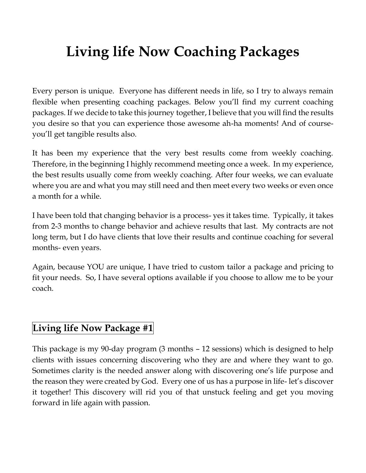## **Living life Now Coaching Packages**

Every person is unique. Everyone has different needs in life, so I try to always remain flexible when presenting coaching packages. Below you'll find my current coaching packages. If we decide to take this journey together, I believe that you will find the results you desire so that you can experience those awesome ah-ha moments! And of courseyou'll get tangible results also.

It has been my experience that the very best results come from weekly coaching. Therefore, in the beginning I highly recommend meeting once a week. In my experience, the best results usually come from weekly coaching. After four weeks, we can evaluate where you are and what you may still need and then meet every two weeks or even once a month for a while.

I have been told that changing behavior is a process- yes it takes time. Typically, it takes from 2-3 months to change behavior and achieve results that last. My contracts are not long term, but I do have clients that love their results and continue coaching for several months- even years.

Again, because YOU are unique, I have tried to custom tailor a package and pricing to fit your needs. So, I have several options available if you choose to allow me to be your coach.

## **Living life Now Package #1**

This package is my 90-day program (3 months – 12 sessions) which is designed to help clients with issues concerning discovering who they are and where they want to go. Sometimes clarity is the needed answer along with discovering one's life purpose and the reason they were created by God. Every one of us has a purpose in life- let's discover it together! This discovery will rid you of that unstuck feeling and get you moving forward in life again with passion.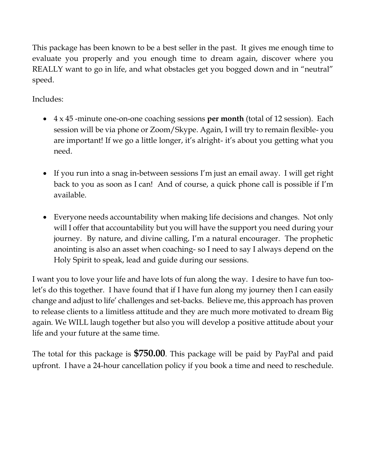This package has been known to be a best seller in the past. It gives me enough time to evaluate you properly and you enough time to dream again, discover where you REALLY want to go in life, and what obstacles get you bogged down and in "neutral" speed.

Includes:

- 4 x 45 -minute one-on-one coaching sessions **per month** (total of 12 session). Each session will be via phone or Zoom/Skype. Again, I will try to remain flexible- you are important! If we go a little longer, it's alright- it's about you getting what you need.
- If you run into a snag in-between sessions I'm just an email away. I will get right back to you as soon as I can! And of course, a quick phone call is possible if I'm available.
- Everyone needs accountability when making life decisions and changes. Not only will I offer that accountability but you will have the support you need during your journey. By nature, and divine calling, I'm a natural encourager. The prophetic anointing is also an asset when coaching- so I need to say I always depend on the Holy Spirit to speak, lead and guide during our sessions.

I want you to love your life and have lots of fun along the way. I desire to have fun toolet's do this together. I have found that if I have fun along my journey then I can easily change and adjust to life' challenges and set-backs. Believe me, this approach has proven to release clients to a limitless attitude and they are much more motivated to dream Big again. We WILL laugh together but also you will develop a positive attitude about your life and your future at the same time.

The total for this package is **\$750.00**. This package will be paid by PayPal and paid upfront. I have a 24-hour cancellation policy if you book a time and need to reschedule.